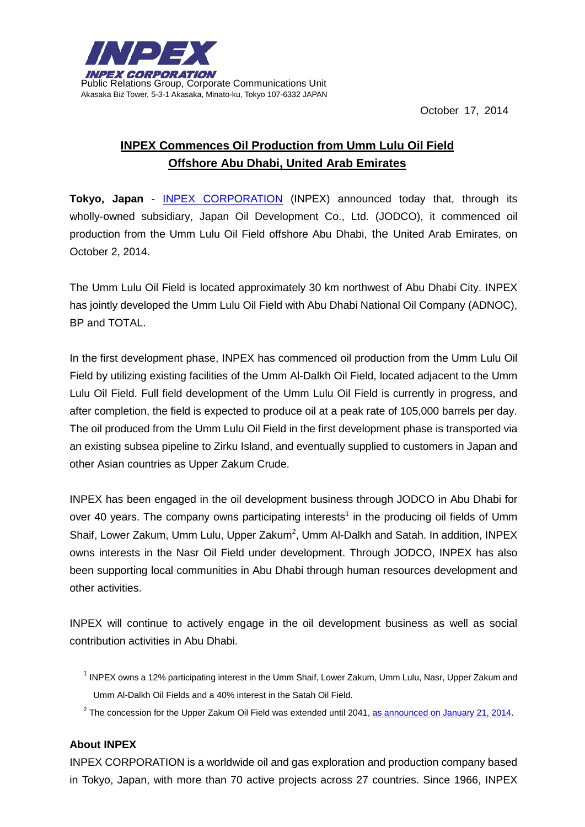

October 17, 2014

## **INPEX Commences Oil Production from Umm Lulu Oil Field Offshore Abu Dhabi, United Arab Emirates**

**Tokyo, Japan** - [INPEX CORPORATION](http://www.inpex.co.jp/english/index.html) (INPEX) announced today that, through its wholly-owned subsidiary, Japan Oil Development Co., Ltd. (JODCO), it commenced oil production from the Umm Lulu Oil Field offshore Abu Dhabi, the United Arab Emirates, on October 2, 2014.

The Umm Lulu Oil Field is located approximately 30 km northwest of Abu Dhabi City. INPEX has jointly developed the Umm Lulu Oil Field with Abu Dhabi National Oil Company (ADNOC), BP and TOTAL.

In the first development phase, INPEX has commenced oil production from the Umm Lulu Oil Field by utilizing existing facilities of the Umm Al-Dalkh Oil Field, located adjacent to the Umm Lulu Oil Field. Full field development of the Umm Lulu Oil Field is currently in progress, and after completion, the field is expected to produce oil at a peak rate of 105,000 barrels per day. The oil produced from the Umm Lulu Oil Field in the first development phase is transported via an existing subsea pipeline to Zirku Island, and eventually supplied to customers in Japan and other Asian countries as Upper Zakum Crude.

INPEX has been engaged in the oil development business through JODCO in Abu Dhabi for over 40 years. The company owns participating interests<sup>1</sup> in the producing oil fields of Umm Shaif, Lower Zakum, Umm Lulu, Upper Zakum<sup>2</sup>, Umm Al-Dalkh and Satah. In addition, INPEX owns interests in the Nasr Oil Field under development. Through JODCO, INPEX has also been supporting local communities in Abu Dhabi through human resources development and other activities.

INPEX will continue to actively engage in the oil development business as well as social contribution activities in Abu Dhabi.

- $1$  INPEX owns a 12% participating interest in the Umm Shaif, Lower Zakum, Umm Lulu, Nasr, Upper Zakum and Umm Al-Dalkh Oil Fields and a 40% interest in the Satah Oil Field.
- $2$  The concession for the Upper Zakum Oil Field was extended until 2041, [as announced on January 21, 2014.](http://www.inpex.co.jp/english/news/pdf/2014/e20140121.pdf)

## **About INPEX**

INPEX CORPORATION is a worldwide oil and gas exploration and production company based in Tokyo, Japan, with more than 70 active projects across 27 countries. Since 1966, INPEX